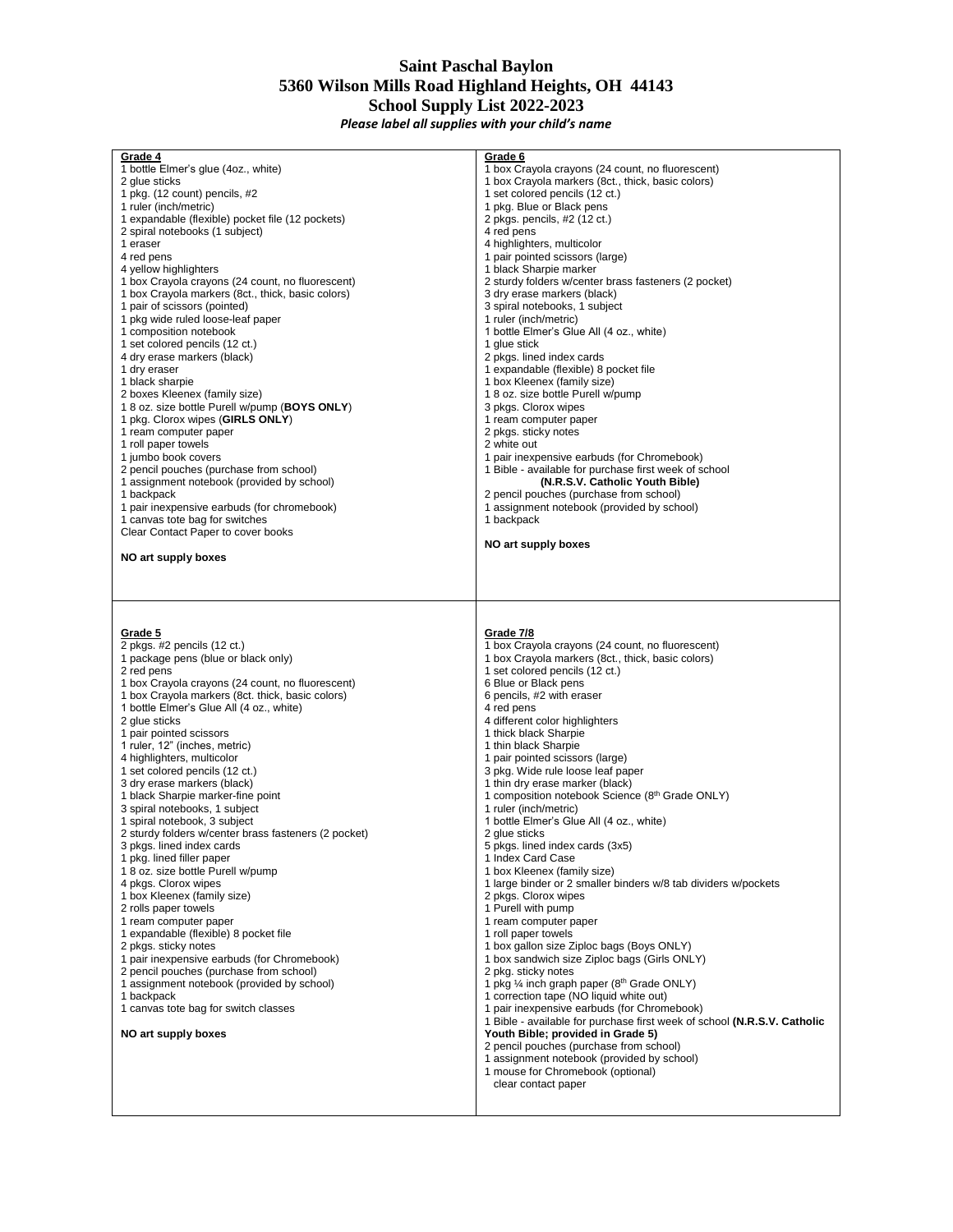## **Saint Paschal Baylon 5360 Wilson Mills Road Highland Heights, OH 44143 School Supply List 2022-2023**

*Please label all supplies with your child's name*

| Grade 4                                              | Grade 6                                                                  |
|------------------------------------------------------|--------------------------------------------------------------------------|
| 1 bottle Elmer's glue (4oz., white)                  | 1 box Crayola crayons (24 count, no fluorescent)                         |
| 2 glue sticks                                        | 1 box Crayola markers (8ct., thick, basic colors)                        |
|                                                      | 1 set colored pencils (12 ct.)                                           |
| 1 pkg. (12 count) pencils, #2                        |                                                                          |
| 1 ruler (inch/metric)                                | 1 pkg. Blue or Black pens                                                |
| 1 expandable (flexible) pocket file (12 pockets)     | 2 pkgs. pencils, #2 (12 ct.)                                             |
| 2 spiral notebooks (1 subject)                       | 4 red pens                                                               |
| 1 eraser                                             | 4 highlighters, multicolor                                               |
| 4 red pens                                           | 1 pair pointed scissors (large)                                          |
| 4 yellow highlighters                                |                                                                          |
|                                                      | 1 black Sharpie marker                                                   |
| 1 box Crayola crayons (24 count, no fluorescent)     | 2 sturdy folders w/center brass fasteners (2 pocket)                     |
| 1 box Crayola markers (8ct., thick, basic colors)    | 3 dry erase markers (black)                                              |
| 1 pair of scissors (pointed)                         | 3 spiral notebooks, 1 subject                                            |
| 1 pkg wide ruled loose-leaf paper                    | 1 ruler (inch/metric)                                                    |
| 1 composition notebook                               | 1 bottle Elmer's Glue All (4 oz., white)                                 |
| 1 set colored pencils (12 ct.)                       | 1 glue stick                                                             |
|                                                      |                                                                          |
| 4 dry erase markers (black)                          | 2 pkgs. lined index cards                                                |
| 1 dry eraser                                         | 1 expandable (flexible) 8 pocket file                                    |
| 1 black sharpie                                      | 1 box Kleenex (family size)                                              |
| 2 boxes Kleenex (family size)                        | 18 oz. size bottle Purell w/pump                                         |
| 18 oz. size bottle Purell w/pump (BOYS ONLY)         | 3 pkgs. Clorox wipes                                                     |
|                                                      |                                                                          |
| 1 pkg. Clorox wipes (GIRLS ONLY)                     | 1 ream computer paper                                                    |
| 1 ream computer paper                                | 2 pkgs. sticky notes                                                     |
| 1 roll paper towels                                  | 2 white out                                                              |
| 1 jumbo book covers                                  | 1 pair inexpensive earbuds (for Chromebook)                              |
| 2 pencil pouches (purchase from school)              | 1 Bible - available for purchase first week of school                    |
| 1 assignment notebook (provided by school)           | (N.R.S.V. Catholic Youth Bible)                                          |
|                                                      |                                                                          |
| 1 backpack                                           | 2 pencil pouches (purchase from school)                                  |
| 1 pair inexpensive earbuds (for chromebook)          | 1 assignment notebook (provided by school)                               |
| 1 canvas tote bag for switches                       | 1 backpack                                                               |
| Clear Contact Paper to cover books                   |                                                                          |
|                                                      | NO art supply boxes                                                      |
|                                                      |                                                                          |
| NO art supply boxes                                  |                                                                          |
|                                                      |                                                                          |
|                                                      |                                                                          |
|                                                      |                                                                          |
|                                                      |                                                                          |
|                                                      |                                                                          |
|                                                      |                                                                          |
|                                                      |                                                                          |
| Grade 5                                              | Grade 7/8                                                                |
| 2 pkgs. #2 pencils (12 ct.)                          | 1 box Crayola crayons (24 count, no fluorescent)                         |
|                                                      | 1 box Crayola markers (8ct., thick, basic colors)                        |
| 1 package pens (blue or black only)                  |                                                                          |
| 2 red pens                                           | 1 set colored pencils (12 ct.)                                           |
| 1 box Crayola crayons (24 count, no fluorescent)     | 6 Blue or Black pens                                                     |
| 1 box Crayola markers (8ct. thick, basic colors)     | 6 pencils, #2 with eraser                                                |
| 1 bottle Elmer's Glue All (4 oz., white)             | 4 red pens                                                               |
| 2 glue sticks                                        | 4 different color highlighters                                           |
|                                                      |                                                                          |
| 1 pair pointed scissors                              | 1 thick black Sharpie                                                    |
| 1 ruler, 12" (inches, metric)                        | 1 thin black Sharpie                                                     |
| 4 highlighters, multicolor                           | 1 pair pointed scissors (large)                                          |
| 1 set colored pencils (12 ct.)                       | 3 pkg. Wide rule loose leaf paper                                        |
| 3 dry erase markers (black)                          | 1 thin dry erase marker (black)                                          |
| 1 black Sharpie marker-fine point                    | 1 composition notebook Science (8th Grade ONLY)                          |
| 3 spiral notebooks, 1 subject                        | 1 ruler (inch/metric)                                                    |
|                                                      |                                                                          |
| 1 spiral notebook, 3 subject                         | 1 bottle Elmer's Glue All (4 oz., white)                                 |
| 2 sturdy folders w/center brass fasteners (2 pocket) | 2 glue sticks                                                            |
| 3 pkgs. lined index cards                            | 5 pkgs. lined index cards (3x5)                                          |
| 1 pkg. lined filler paper                            | 1 Index Card Case                                                        |
| 18 oz. size bottle Purell w/pump                     | 1 box Kleenex (family size)                                              |
| 4 pkgs. Clorox wipes                                 | 1 large binder or 2 smaller binders w/8 tab dividers w/pockets           |
|                                                      |                                                                          |
| 1 box Kleenex (family size)                          | 2 pkgs. Clorox wipes                                                     |
| 2 rolls paper towels                                 | 1 Purell with pump                                                       |
| 1 ream computer paper                                | 1 ream computer paper                                                    |
| 1 expandable (flexible) 8 pocket file                | 1 roll paper towels                                                      |
| 2 pkgs. sticky notes                                 | 1 box gallon size Ziploc bags (Boys ONLY)                                |
| 1 pair inexpensive earbuds (for Chromebook)          | 1 box sandwich size Ziploc bags (Girls ONLY)                             |
|                                                      |                                                                          |
| 2 pencil pouches (purchase from school)              | 2 pkg. sticky notes                                                      |
| 1 assignment notebook (provided by school)           | 1 pkg 1/4 inch graph paper (8 <sup>th</sup> Grade ONLY)                  |
| 1 backpack                                           | 1 correction tape (NO liquid white out)                                  |
| 1 canvas tote bag for switch classes                 | 1 pair inexpensive earbuds (for Chromebook)                              |
|                                                      | 1 Bible - available for purchase first week of school (N.R.S.V. Catholic |
|                                                      |                                                                          |
| NO art supply boxes                                  | Youth Bible; provided in Grade 5)                                        |
|                                                      | 2 pencil pouches (purchase from school)                                  |
|                                                      | 1 assignment notebook (provided by school)                               |
|                                                      | 1 mouse for Chromebook (optional)                                        |
|                                                      | clear contact paper                                                      |
|                                                      |                                                                          |